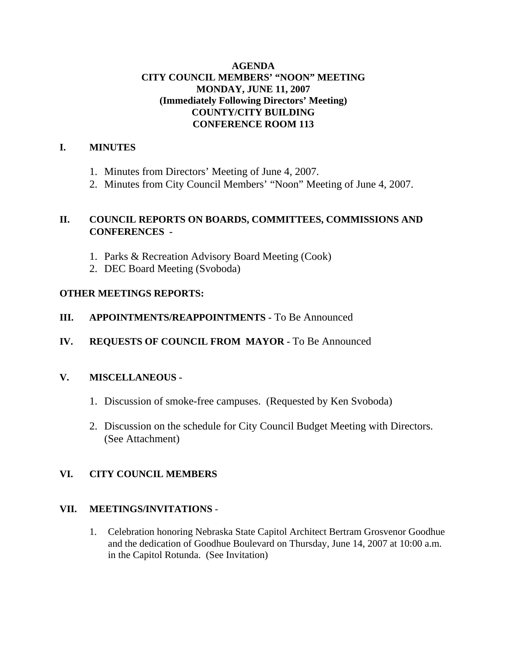## **AGENDA CITY COUNCIL MEMBERS' "NOON" MEETING MONDAY, JUNE 11, 2007 (Immediately Following Directors' Meeting) COUNTY/CITY BUILDING CONFERENCE ROOM 113**

## **I. MINUTES**

- 1. Minutes from Directors' Meeting of June 4, 2007.
- 2. Minutes from City Council Members' "Noon" Meeting of June 4, 2007.

## **II. COUNCIL REPORTS ON BOARDS, COMMITTEES, COMMISSIONS AND CONFERENCES -**

- 1. Parks & Recreation Advisory Board Meeting (Cook)
- 2. DEC Board Meeting (Svoboda)

## **OTHER MEETINGS REPORTS:**

- **III. APPOINTMENTS/REAPPOINTMENTS -** To Be Announced
- **IV. REQUESTS OF COUNCIL FROM MAYOR -** To Be Announced

## **V. MISCELLANEOUS -**

- 1. Discussion of smoke-free campuses. (Requested by Ken Svoboda)
- 2. Discussion on the schedule for City Council Budget Meeting with Directors. (See Attachment)

## **VI. CITY COUNCIL MEMBERS**

## **VII. MEETINGS/INVITATIONS** -

1. Celebration honoring Nebraska State Capitol Architect Bertram Grosvenor Goodhue and the dedication of Goodhue Boulevard on Thursday, June 14, 2007 at 10:00 a.m. in the Capitol Rotunda. (See Invitation)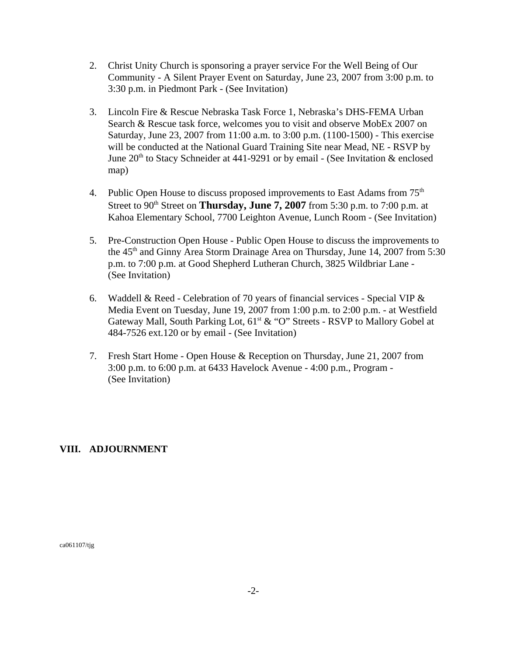- 2. Christ Unity Church is sponsoring a prayer service For the Well Being of Our Community - A Silent Prayer Event on Saturday, June 23, 2007 from 3:00 p.m. to 3:30 p.m. in Piedmont Park - (See Invitation)
- 3. Lincoln Fire & Rescue Nebraska Task Force 1, Nebraska's DHS-FEMA Urban Search & Rescue task force, welcomes you to visit and observe MobEx 2007 on Saturday, June 23, 2007 from 11:00 a.m. to 3:00 p.m. (1100-1500) - This exercise will be conducted at the National Guard Training Site near Mead, NE - RSVP by June  $20<sup>th</sup>$  to Stacy Schneider at 441-9291 or by email - (See Invitation & enclosed map)
- 4. Public Open House to discuss proposed improvements to East Adams from  $75<sup>th</sup>$ Street to  $90<sup>th</sup>$  Street on **Thursday, June 7, 2007** from 5:30 p.m. to 7:00 p.m. at Kahoa Elementary School, 7700 Leighton Avenue, Lunch Room - (See Invitation)
- 5. Pre-Construction Open House Public Open House to discuss the improvements to the 45<sup>th</sup> and Ginny Area Storm Drainage Area on Thursday, June 14, 2007 from 5:30 p.m. to 7:00 p.m. at Good Shepherd Lutheran Church, 3825 Wildbriar Lane - (See Invitation)
- 6. Waddell & Reed Celebration of 70 years of financial services Special VIP & Media Event on Tuesday, June 19, 2007 from 1:00 p.m. to 2:00 p.m. - at Westfield Gateway Mall, South Parking Lot,  $61<sup>st</sup> \& ^\circ O$ " Streets - RSVP to Mallory Gobel at 484-7526 ext.120 or by email - (See Invitation)
- 7. Fresh Start Home Open House & Reception on Thursday, June 21, 2007 from 3:00 p.m. to 6:00 p.m. at 6433 Havelock Avenue - 4:00 p.m., Program - (See Invitation)

## **VIII. ADJOURNMENT**

ca061107/tjg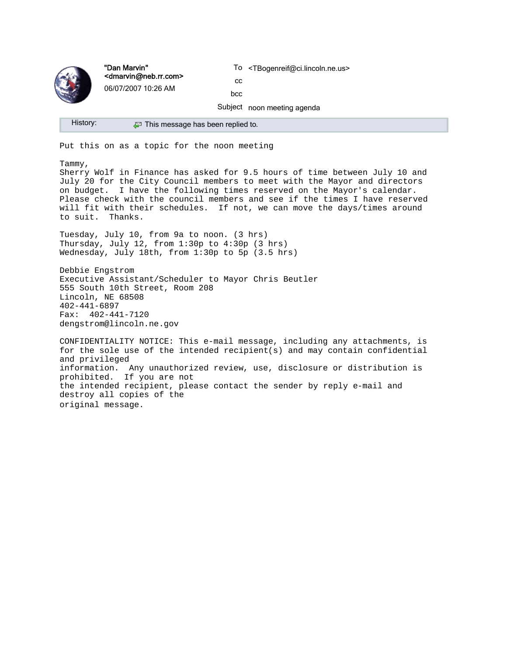

"Dan Marvin" <dmarvin@neb.rr.com> 06/07/2007 10:26 AM

To <TBogenreif@ci.lincoln.ne.us>

cc bcc

Subject noon meeting agenda

History: **P** This message has been replied to.

Put this on as a topic for the noon meeting

Tammy,

Sherry Wolf in Finance has asked for 9.5 hours of time between July 10 and July 20 for the City Council members to meet with the Mayor and directors on budget. I have the following times reserved on the Mayor's calendar. Please check with the council members and see if the times I have reserved will fit with their schedules. If not, we can move the days/times around to suit. Thanks.

Tuesday, July 10, from 9a to noon. (3 hrs) Thursday, July 12, from 1:30p to 4:30p (3 hrs) Wednesday, July 18th, from 1:30p to 5p (3.5 hrs)

Debbie Engstrom Executive Assistant/Scheduler to Mayor Chris Beutler 555 South 10th Street, Room 208 Lincoln, NE 68508 402-441-6897 Fax: 402-441-7120 dengstrom@lincoln.ne.gov

CONFIDENTIALITY NOTICE: This e-mail message, including any attachments, is for the sole use of the intended recipient(s) and may contain confidential and privileged information. Any unauthorized review, use, disclosure or distribution is prohibited. If you are not the intended recipient, please contact the sender by reply e-mail and destroy all copies of the original message.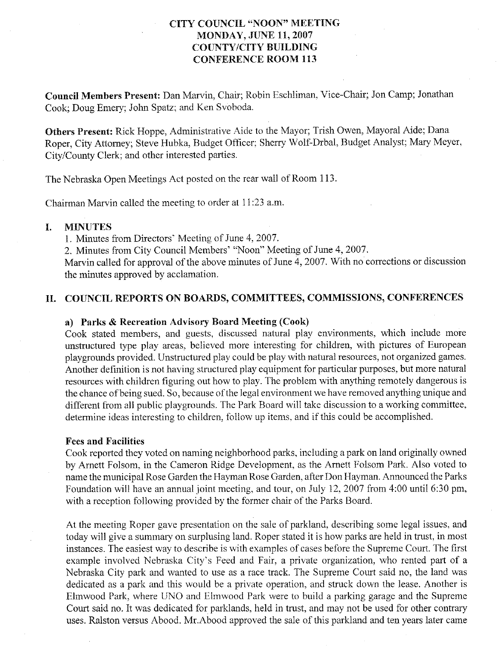## **CITY COUNCIL "NOON" MEETING MONDAY, JUNE 11, 2007 COUNTY/CITY BUILDING CONFERENCE ROOM 113**

Council Members Present: Dan Marvin, Chair; Robin Eschliman, Vice-Chair; Jon Camp; Jonathan Cook; Doug Emery; John Spatz; and Ken Svoboda.

Others Present: Rick Hoppe, Administrative Aide to the Mayor; Trish Owen, Mayoral Aide; Dana Roper, City Attorney; Steve Hubka, Budget Officer; Sherry Wolf-Drbal, Budget Analyst; Mary Meyer, City/County Clerk; and other interested parties.

The Nebraska Open Meetings Act posted on the rear wall of Room 113.

Chairman Marvin called the meeting to order at 11:23 a.m.

#### **MINUTES** L

1. Minutes from Directors' Meeting of June 4, 2007.

2. Minutes from City Council Members' "Noon" Meeting of June 4, 2007.

Marvin called for approval of the above minutes of June 4, 2007. With no corrections or discussion the minutes approved by acclamation.

### II. COUNCIL REPORTS ON BOARDS, COMMITTEES, COMMISSIONS, CONFERENCES

### a) Parks & Recreation Advisory Board Meeting (Cook)

Cook stated members, and guests, discussed natural play environments, which include more unstructured type play areas, believed more interesting for children, with pictures of European playgrounds provided. Unstructured play could be play with natural resources, not organized games. Another definition is not having structured play equipment for particular purposes, but more natural resources with children figuring out how to play. The problem with anything remotely dangerous is the chance of being sued. So, because of the legal environment we have removed anything unique and different from all public playgrounds. The Park Board will take discussion to a working committee, determine ideas interesting to children, follow up items, and if this could be accomplished.

### **Fees and Facilities**

Cook reported they voted on naming neighborhood parks, including a park on land originally owned by Arnett Folsom, in the Cameron Ridge Development, as the Arnett Folsom Park. Also voted to name the municipal Rose Garden the Hayman Rose Garden, after Don Hayman. Announced the Parks Foundation will have an annual joint meeting, and tour, on July 12, 2007 from 4:00 until 6:30 pm, with a reception following provided by the former chair of the Parks Board.

At the meeting Roper gave presentation on the sale of parkland, describing some legal issues, and today will give a summary on surplusing land. Roper stated it is how parks are held in trust, in most instances. The easiest way to describe is with examples of cases before the Supreme Court. The first example involved Nebraska City's Feed and Fair, a private organization, who rented part of a Nebraska City park and wanted to use as a race track. The Supreme Court said no, the land was dedicated as a park and this would be a private operation, and struck down the lease. Another is Elmwood Park, where UNO and Elmwood Park were to build a parking garage and the Supreme Court said no. It was dedicated for parklands, held in trust, and may not be used for other contrary uses. Ralston versus Abood. Mr. Abood approved the sale of this parkland and ten years later came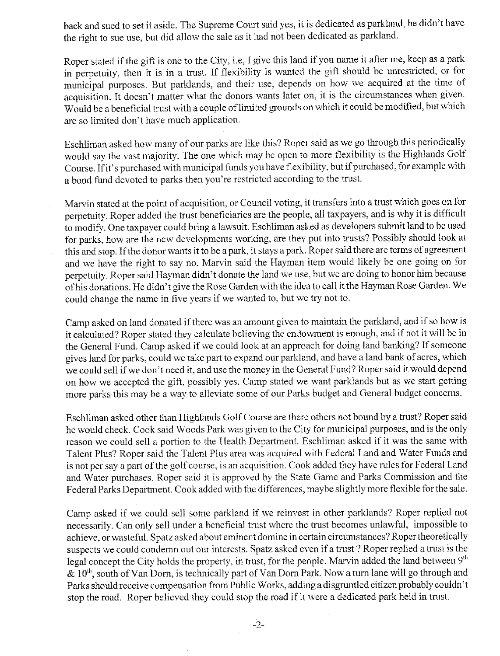back and sued to set it aside. The Supreme Court said yes, it is dedicated as parkland, he didn't have the right to sue use, but did allow the sale as it had not been dedicated as parkland.

Roper stated if the gift is one to the City, i.e. I give this land if you name it after me, keep as a park in perpetuity, then it is in a trust. If flexibility is wanted the gift should be unrestricted, or for municipal purposes. But parklands, and their use, depends on how we acquired at the time of acquisition. It doesn't matter what the donors wants later on, it is the circumstances when given. Would be a beneficial trust with a couple of limited grounds on which it could be modified, but which are so limited don't have much application.

Eschliman asked how many of our parks are like this? Roper said as we go through this periodically would say the vast majority. The one which may be open to more flexibility is the Highlands Golf Course. If it's purchased with municipal funds you have flexibility, but if purchased, for example with a bond fund devoted to parks then you're restricted according to the trust.

Marvin stated at the point of acquisition, or Council voting, it transfers into a trust which goes on for perpetuity. Roper added the trust beneficiaries are the people, all taxpayers, and is why it is difficult to modify. One taxpayer could bring a lawsuit. Eschliman asked as developers submit land to be used for parks, how are the new developments working, are they put into trusts? Possibly should look at this and stop. If the donor wants it to be a park, it stays a park. Roper said there are terms of agreement and we have the right to say no. Marvin said the Hayman item would likely be one going on for perpetuity. Roper said Hayman didn't donate the land we use, but we are doing to honor him because of his donations. He didn't give the Rose Garden with the idea to call it the Hayman Rose Garden. We could change the name in five years if we wanted to, but we try not to.

Camp asked on land donated if there was an amount given to maintain the parkland, and if so how is it calculated? Roper stated they calculate believing the endowment is enough, and if not it will be in the General Fund. Camp asked if we could look at an approach for doing land banking? If someone gives land for parks, could we take part to expand our parkland, and have a land bank of acres, which we could sell if we don't need it, and use the money in the General Fund? Roper said it would depend on how we accepted the gift, possibly yes. Camp stated we want parklands but as we start getting more parks this may be a way to alleviate some of our Parks budget and General budget concerns.

Eschliman asked other than Highlands Golf Course are there others not bound by a trust? Roper said he would check. Cook said Woods Park was given to the City for municipal purposes, and is the only reason we could sell a portion to the Health Department. Eschliman asked if it was the same with Talent Plus? Roper said the Talent Plus area was acquired with Federal Land and Water Funds and is not per say a part of the golf course, is an acquisition. Cook added they have rules for Federal Land and Water purchases. Roper said it is approved by the State Game and Parks Commission and the Federal Parks Department. Cook added with the differences, maybe slightly more flexible for the sale.

Camp asked if we could sell some parkland if we reinvest in other parklands? Roper replied not necessarily. Can only sell under a beneficial trust where the trust becomes unlawful, impossible to achieve, or wasteful. Spatz asked about eminent domine in certain circumstances? Roper theoretically suspects we could condemn out our interests. Spatz asked even if a trust ? Roper replied a trust is the legal concept the City holds the property, in trust, for the people. Marvin added the land between 9th & 10<sup>th</sup>, south of Van Dorn, is technically part of Van Dorn Park. Now a turn lane will go through and Parks should receive compensation from Public Works, adding a disgruntled citizen probably couldn't stop the road. Roper believed they could stop the road if it were a dedicated park held in trust.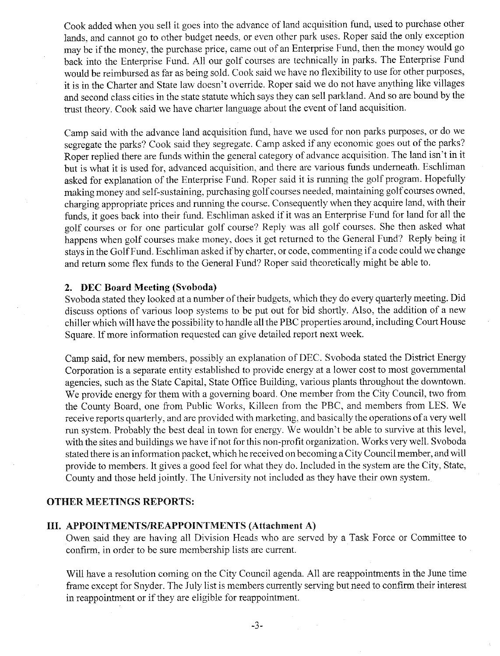Cook added when you sell it goes into the advance of land acquisition fund, used to purchase other lands, and cannot go to other budget needs, or even other park uses. Roper said the only exception may be if the money, the purchase price, came out of an Enterprise Fund, then the money would go back into the Enterprise Fund. All our golf courses are technically in parks. The Enterprise Fund would be reimbursed as far as being sold. Cook said we have no flexibility to use for other purposes, it is in the Charter and State law doesn't override. Roper said we do not have anything like villages and second class cities in the state statute which says they can sell parkland. And so are bound by the trust theory. Cook said we have charter language about the event of land acquisition.

Camp said with the advance land acquisition fund, have we used for non parks purposes, or do we segregate the parks? Cook said they segregate. Camp asked if any economic goes out of the parks? Roper replied there are funds within the general category of advance acquisition. The land isn't in it but is what it is used for, advanced acquisition, and there are various funds underneath. Eschliman asked for explanation of the Enterprise Fund. Roper said it is running the golf program. Hopefully making money and self-sustaining, purchasing golf courses needed, maintaining golf courses owned, charging appropriate prices and running the course. Consequently when they acquire land, with their funds, it goes back into their fund. Eschliman asked if it was an Enterprise Fund for land for all the golf courses or for one particular golf course? Reply was all golf courses. She then asked what happens when golf courses make money, does it get returned to the General Fund? Reply being it stays in the Golf Fund. Eschliman asked if by charter, or code, commenting if a code could we change and return some flex funds to the General Fund? Roper said theoretically might be able to.

#### 2. DEC Board Meeting (Svoboda)

Svoboda stated they looked at a number of their budgets, which they do every quarterly meeting. Did discuss options of various loop systems to be put out for bid shortly. Also, the addition of a new chiller which will have the possibility to handle all the PBC properties around, including Court House Square. If more information requested can give detailed report next week.

Camp said, for new members, possibly an explanation of DEC. Svoboda stated the District Energy Corporation is a separate entity established to provide energy at a lower cost to most governmental agencies, such as the State Capital, State Office Building, various plants throughout the downtown. We provide energy for them with a governing board. One member from the City Council, two from the County Board, one from Public Works, Killeen from the PBC, and members from LES. We receive reports quarterly, and are provided with marketing, and basically the operations of a very well run system. Probably the best deal in town for energy. We wouldn't be able to survive at this level, with the sites and buildings we have if not for this non-profit organization. Works very well. Svoboda stated there is an information packet, which he received on becoming a City Council member, and will provide to members. It gives a good feel for what they do. Included in the system are the City, State, County and those held jointly. The University not included as they have their own system.

### **OTHER MEETINGS REPORTS:**

#### III. APPOINTMENTS/REAPPOINTMENTS (Attachment A)

Owen said they are having all Division Heads who are served by a Task Force or Committee to confirm, in order to be sure membership lists are current.

Will have a resolution coming on the City Council agenda. All are reappointments in the June time frame except for Snyder. The July list is members currently serving but need to confirm their interest in reappointment or if they are eligible for reappointment.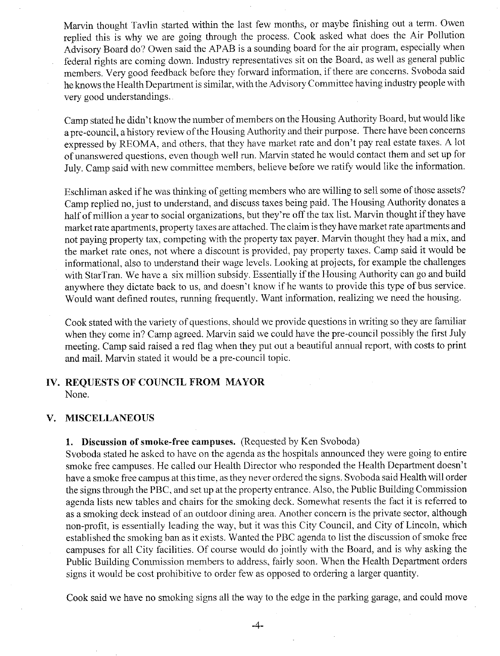Marvin thought Tavlin started within the last few months, or maybe finishing out a term. Owen replied this is why we are going through the process. Cook asked what does the Air Pollution Advisory Board do? Owen said the APAB is a sounding board for the air program, especially when federal rights are coming down. Industry representatives sit on the Board, as well as general public members. Very good feedback before they forward information, if there are concerns. Svoboda said he knows the Health Department is similar, with the Advisory Committee having industry people with very good understandings.

Camp stated he didn't know the number of members on the Housing Authority Board, but would like a pre-council, a history review of the Housing Authority and their purpose. There have been concerns expressed by REOMA, and others, that they have market rate and don't pay real estate taxes. A lot of unanswered questions, even though well run. Marvin stated he would contact them and set up for July. Camp said with new committee members, believe before we ratify would like the information.

Eschliman asked if he was thinking of getting members who are willing to sell some of those assets? Camp replied no, just to understand, and discuss taxes being paid. The Housing Authority donates a half of million a year to social organizations, but they're off the tax list. Marvin thought if they have market rate apartments, property taxes are attached. The claim is they have market rate apartments and not paying property tax, competing with the property tax payer. Marvin thought they had a mix, and the market rate ones, not where a discount is provided, pay property taxes. Camp said it would be informational, also to understand their wage levels. Looking at projects, for example the challenges with StarTran. We have a six million subsidy. Essentially if the Housing Authority can go and build anywhere they dictate back to us, and doesn't know if he wants to provide this type of bus service. Would want defined routes, running frequently. Want information, realizing we need the housing.

Cook stated with the variety of questions, should we provide questions in writing so they are familiar when they come in? Camp agreed. Marvin said we could have the pre-council possibly the first July meeting. Camp said raised a red flag when they put out a beautiful annual report, with costs to print and mail. Marvin stated it would be a pre-council topic.

# IV. REQUESTS OF COUNCIL FROM MAYOR

None.

#### **MISCELLANEOUS** V.

### 1. Discussion of smoke-free campuses. (Requested by Ken Svoboda)

Syoboda stated he asked to have on the agenda as the hospitals announced they were going to entire smoke free campuses. He called our Health Director who responded the Health Department doesn't have a smoke free campus at this time, as they never ordered the signs. Svoboda said Health will order the signs through the PBC, and set up at the property entrance. Also, the Public Building Commission agenda lists new tables and chairs for the smoking deck. Somewhat resents the fact it is referred to as a smoking deck instead of an outdoor dining area. Another concern is the private sector, although non-profit, is essentially leading the way, but it was this City Council, and City of Lincoln, which established the smoking ban as it exists. Wanted the PBC agenda to list the discussion of smoke free campuses for all City facilities. Of course would do jointly with the Board, and is why asking the Public Building Commission members to address, fairly soon. When the Health Department orders signs it would be cost prohibitive to order few as opposed to ordering a larger quantity.

Cook said we have no smoking signs all the way to the edge in the parking garage, and could move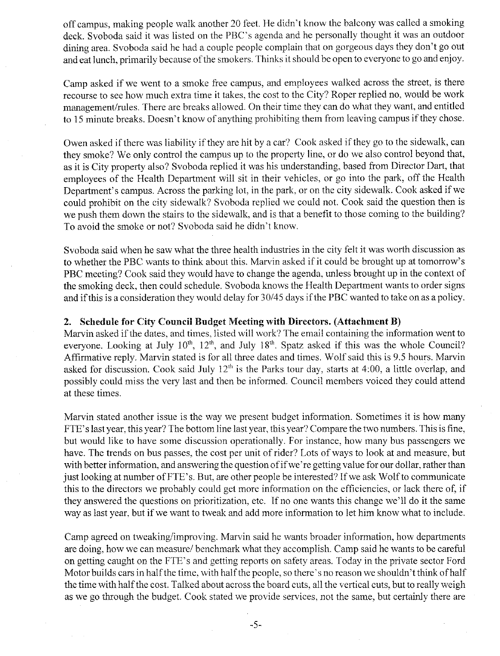off campus, making people walk another 20 feet. He didn't know the balcony was called a smoking deck. Svoboda said it was listed on the PBC's agenda and he personally thought it was an outdoor dining area. Svoboda said he had a couple people complain that on gorgeous days they don't go out and eat lunch, primarily because of the smokers. Thinks it should be open to everyone to go and enjoy.

Camp asked if we went to a smoke free campus, and employees walked across the street, is there recourse to see how much extra time it takes, the cost to the City? Roper replied no, would be work management/rules. There are breaks allowed. On their time they can do what they want, and entitled to 15 minute breaks. Doesn't know of anything prohibiting them from leaving campus if they chose.

Owen asked if there was liability if they are hit by a car? Cook asked if they go to the sidewalk, can they smoke? We only control the campus up to the property line, or do we also control beyond that, as it is City property also? Svoboda replied it was his understanding, based from Director Dart, that employees of the Health Department will sit in their vehicles, or go into the park, off the Health Department's campus. Across the parking lot, in the park, or on the city sidewalk. Cook asked if we could prohibit on the city sidewalk? Svoboda replied we could not. Cook said the question then is we push them down the stairs to the sidewalk, and is that a benefit to those coming to the building? To avoid the smoke or not? Svoboda said he didn't know.

Svoboda said when he saw what the three health industries in the city felt it was worth discussion as to whether the PBC wants to think about this. Marvin asked if it could be brought up at tomorrow's PBC meeting? Cook said they would have to change the agenda, unless brought up in the context of the smoking deck, then could schedule. Svoboda knows the Health Department wants to order signs and if this is a consideration they would delay for 30/45 days if the PBC wanted to take on as a policy.

#### 2. Schedule for City Council Budget Meeting with Directors. (Attachment B)

Marvin asked if the dates, and times, listed will work? The email containing the information went to everyone. Looking at July  $10^{th}$ ,  $12^{th}$ , and July  $18^{th}$ . Spatz asked if this was the whole Council? Affirmative reply. Marvin stated is for all three dates and times. Wolf said this is 9.5 hours. Marvin asked for discussion. Cook said July  $12<sup>th</sup>$  is the Parks tour day, starts at 4:00, a little overlap, and possibly could miss the very last and then be informed. Council members voiced they could attend at these times.

Marvin stated another issue is the way we present budget information. Sometimes it is how many FTE's last year, this year? The bottom line last year, this year? Compare the two numbers. This is fine, but would like to have some discussion operationally. For instance, how many bus passengers we have. The trends on bus passes, the cost per unit of rider? Lots of ways to look at and measure, but with better information, and answering the question of if we're getting value for our dollar, rather than just looking at number of FTE's. But, are other people be interested? If we ask Wolf to communicate this to the directors we probably could get more information on the efficiencies, or lack there of, if they answered the questions on prioritization, etc. If no one wants this change we'll do it the same way as last year, but if we want to tweak and add more information to let him know what to include.

Camp agreed on tweaking/improving. Marvin said he wants broader information, how departments are doing, how we can measure/ benchmark what they accomplish. Camp said he wants to be careful on getting caught on the FTE's and getting reports on safety areas. Today in the private sector Ford Motor builds cars in half the time, with half the people, so there's no reason we shouldn't think of half the time with half the cost. Talked about across the board cuts, all the vertical cuts, but to really weigh as we go through the budget. Cook stated we provide services, not the same, but certainly there are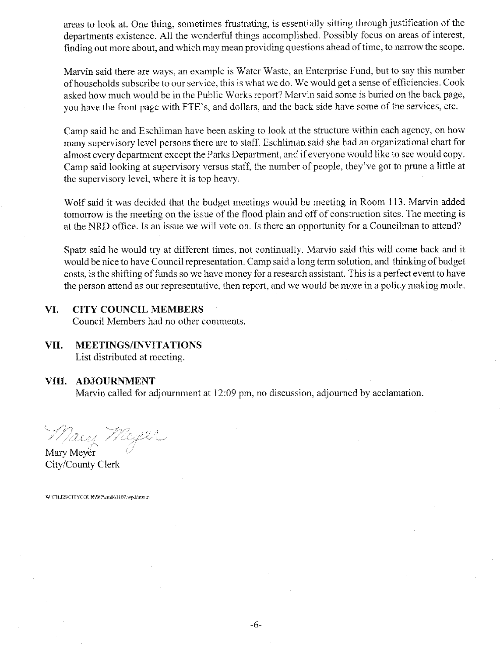areas to look at. One thing, sometimes frustrating, is essentially sitting through justification of the departments existence. All the wonderful things accomplished. Possibly focus on areas of interest, finding out more about, and which may mean providing questions ahead of time, to narrow the scope.

Marvin said there are ways, an example is Water Waste, an Enterprise Fund, but to say this number of households subscribe to our service, this is what we do. We would get a sense of efficiencies. Cook asked how much would be in the Public Works report? Marvin said some is buried on the back page, you have the front page with FTE's, and dollars, and the back side have some of the services, etc.

Camp said he and Eschliman have been asking to look at the structure within each agency, on how many supervisory level persons there are to staff. Eschliman said she had an organizational chart for almost every department except the Parks Department, and if everyone would like to see would copy. Camp said looking at supervisory versus staff, the number of people, they've got to prune a little at the supervisory level, where it is top heavy.

Wolf said it was decided that the budget meetings would be meeting in Room 113. Marvin added tomorrow is the meeting on the issue of the flood plain and off of construction sites. The meeting is at the NRD office. Is an issue we will vote on. Is there an opportunity for a Councilman to attend?

Spatz said he would try at different times, not continually. Marvin said this will come back and it would be nice to have Council representation. Camp said a long term solution, and thinking of budget costs, is the shifting of funds so we have money for a research assistant. This is a perfect event to have the person attend as our representative, then report, and we would be more in a policy making mode.

#### VI. **CITY COUNCIL MEMBERS**

Council Members had no other comments.

**MEETINGS/INVITATIONS** VII. List distributed at meeting.

### VIII. ADJOURNMENT

Marvin called for adjournment at 12:09 pm, no discussion, adjourned by acclamation.

Macy Meyer

Mary Mever City/County Clerk

W:\FILES\CITYCOUN\WP\cm061107.wpd/mmm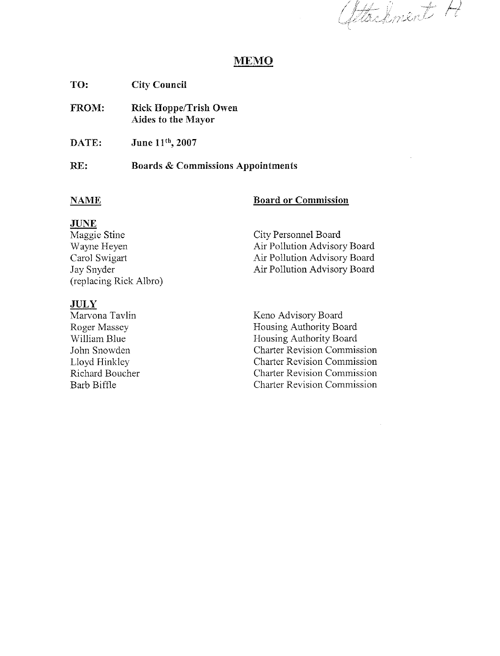fetachment H

## **MEMO**

**City Council** TO:

**Rick Hoppe/Trish Owen** FROM: **Aides to the Mayor** 

June 11th, 2007 DATE:

#### RE: **Boards & Commissions Appointments**

### **NAME**

### **Board or Commission**

### **JUNE**

| Maggie Stine           | City Personnel Board         |
|------------------------|------------------------------|
| Wayne Heyen            | Air Pollution Advisory Board |
| Carol Swigart          | Air Pollution Advisory Board |
| Jay Snyder             | Air Pollution Advisory Board |
| (replacing Rick Albro) |                              |

## **JULY**

Marvona Tavlin Roger Massey William Blue John Snowden Lloyd Hinkley Richard Boucher Barb Biffle

Keno Advisory Board Housing Authority Board Housing Authority Board Charter Revision Commission **Charter Revision Commission Charter Revision Commission Charter Revision Commission**